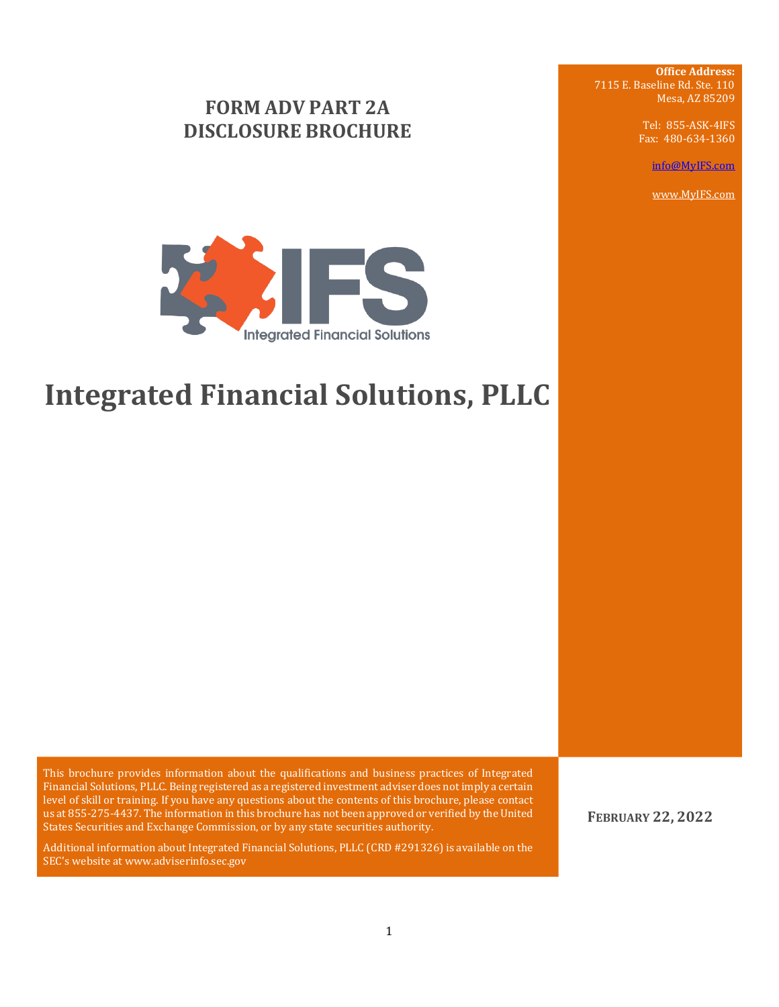## **FORM ADV PART 2A DISCLOSURE BROCHURE**

**Office Address:** 7115 E. Baseline Rd. Ste. 110 Mesa, AZ 85209

> Tel: 855-ASK-4IFS Fax: 480-634-1360

> > [info@MyIFS.com](mailto:info@MyIFS.com)

[www.MyIFS.com](http://www.myifs.com/)



# **Integrated Financial Solutions, PLLC**

This brochure provides information about the qualifications and business practices of Integrated Financial Solutions, PLLC. Being registered as a registered investment adviser does not imply a certain level of skill or training. If you have any questions about the contents of this brochure, please contact us at 855-275-4437. The information in this brochure has not been approved or verified by the United States Securities and Exchange Commission, or by any state securities authority.

Additional information about Integrated Financial Solutions, PLLC (CRD #291326) is available on the SEC's website at www.adviserinfo.sec.gov

**FEBRUARY 22, 2022**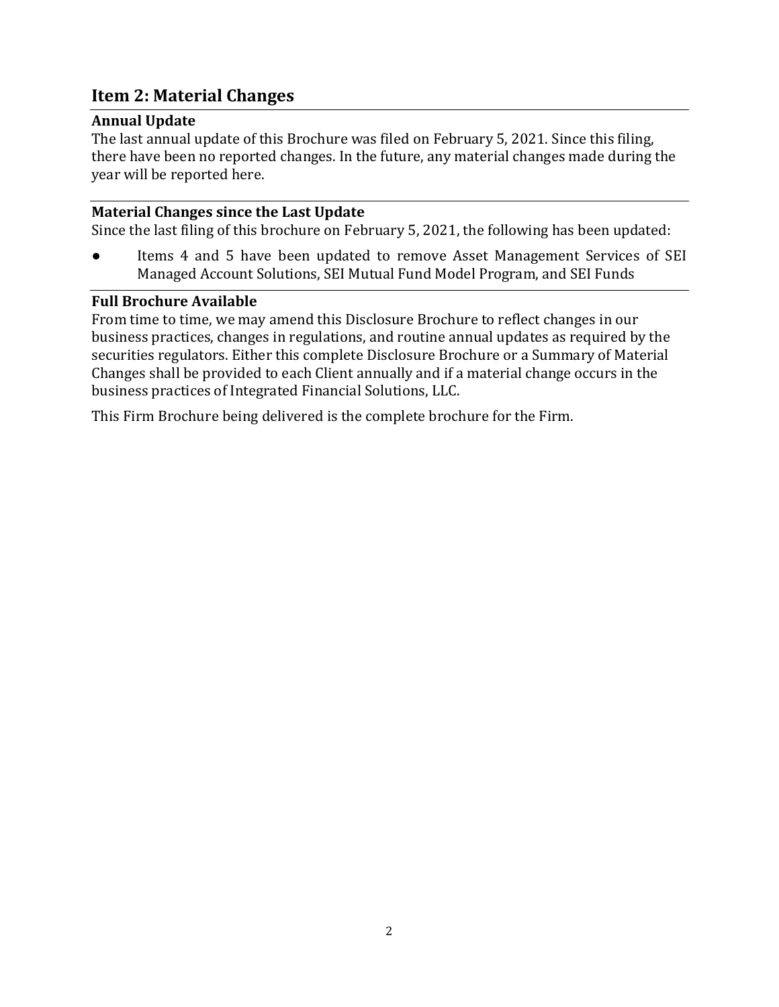## <span id="page-1-0"></span>**Item 2: Material Changes**

#### <span id="page-1-1"></span>**Annual Update**

The last annual update of this Brochure was filed on February 5, 2021. Since this filing, there have been no reported changes. In the future, any material changes made during the year will be reported here.

#### <span id="page-1-2"></span>**Material Changes since the Last Update**

Since the last filing of this brochure on February 5, 2021, the following has been updated:

● Items 4 and 5 have been updated to remove Asset Management Services of SEI Managed Account Solutions, SEI Mutual Fund Model Program, and SEI Funds

#### <span id="page-1-3"></span>**Full Brochure Available**

From time to time, we may amend this Disclosure Brochure to reflect changes in our business practices, changes in regulations, and routine annual updates as required by the securities regulators. Either this complete Disclosure Brochure or a Summary of Material Changes shall be provided to each Client annually and if a material change occurs in the business practices of Integrated Financial Solutions, LLC.

This Firm Brochure being delivered is the complete brochure for the Firm.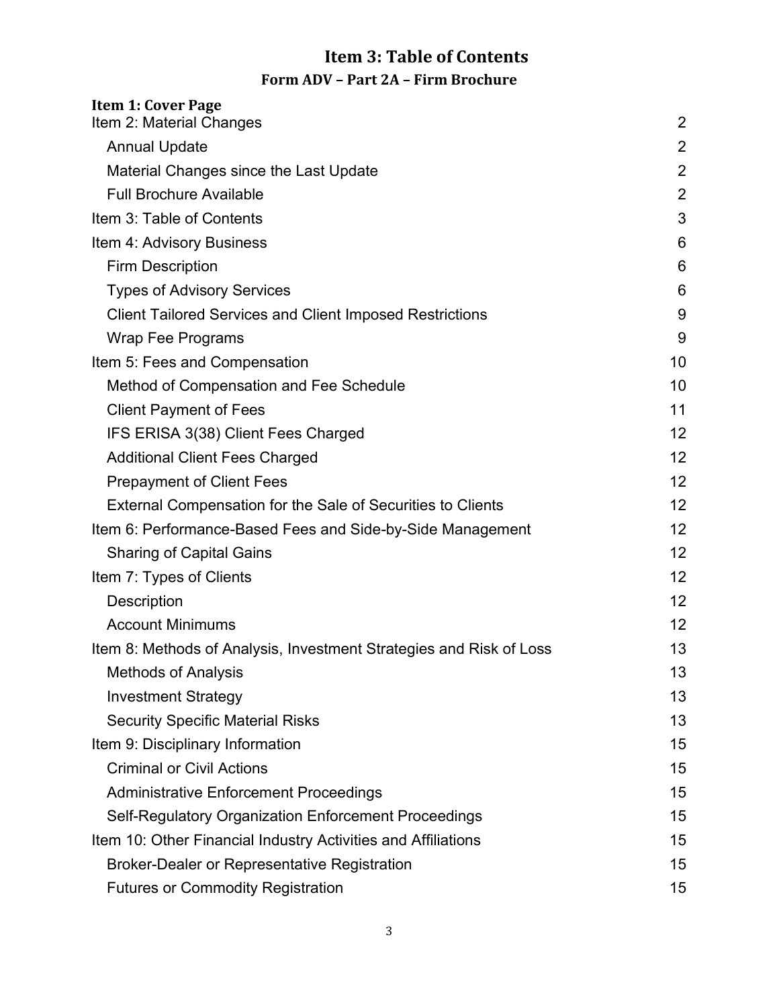## <span id="page-2-0"></span> **Item 3: Table of Contents Form ADV – Part 2A – Firm Brochure**

| <b>Item 1: Cover Page</b><br>Item 2: Material Changes               | 2               |
|---------------------------------------------------------------------|-----------------|
| <b>Annual Update</b>                                                | 2               |
| Material Changes since the Last Update                              | $\overline{2}$  |
| <b>Full Brochure Available</b>                                      | $\overline{2}$  |
| Item 3: Table of Contents                                           | 3               |
| Item 4: Advisory Business                                           | 6               |
| <b>Firm Description</b>                                             | 6               |
| <b>Types of Advisory Services</b>                                   | 6               |
| <b>Client Tailored Services and Client Imposed Restrictions</b>     | 9               |
| <b>Wrap Fee Programs</b>                                            | 9               |
| Item 5: Fees and Compensation                                       | 10              |
| <b>Method of Compensation and Fee Schedule</b>                      | 10              |
| <b>Client Payment of Fees</b>                                       | 11              |
| IFS ERISA 3(38) Client Fees Charged                                 | 12              |
| <b>Additional Client Fees Charged</b>                               | 12              |
| <b>Prepayment of Client Fees</b>                                    | 12              |
| External Compensation for the Sale of Securities to Clients         | 12 <sup>2</sup> |
| Item 6: Performance-Based Fees and Side-by-Side Management          | 12              |
| <b>Sharing of Capital Gains</b>                                     | 12              |
| Item 7: Types of Clients                                            | 12              |
| <b>Description</b>                                                  | 12              |
| <b>Account Minimums</b>                                             | 12              |
| Item 8: Methods of Analysis, Investment Strategies and Risk of Loss | 13              |
| <b>Methods of Analysis</b>                                          | 13              |
| <b>Investment Strategy</b>                                          | 13              |
| <b>Security Specific Material Risks</b>                             | 13              |
| Item 9: Disciplinary Information                                    | 15              |
| <b>Criminal or Civil Actions</b>                                    | 15              |
| <b>Administrative Enforcement Proceedings</b>                       | 15              |
| Self-Regulatory Organization Enforcement Proceedings                | 15              |
| Item 10: Other Financial Industry Activities and Affiliations       | 15              |
| <b>Broker-Dealer or Representative Registration</b>                 | 15              |
| <b>Futures or Commodity Registration</b>                            | 15              |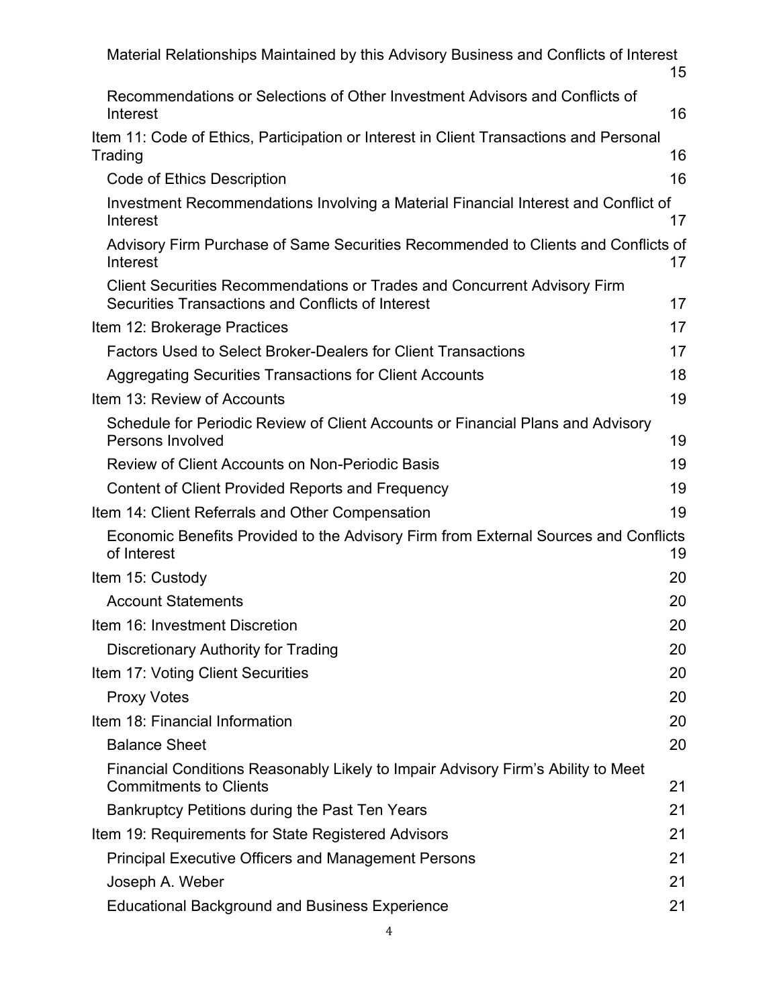| Material Relationships Maintained by this Advisory Business and Conflicts of Interest                                                | 15 |
|--------------------------------------------------------------------------------------------------------------------------------------|----|
| Recommendations or Selections of Other Investment Advisors and Conflicts of<br>Interest                                              | 16 |
| Item 11: Code of Ethics, Participation or Interest in Client Transactions and Personal<br>Trading                                    | 16 |
| <b>Code of Ethics Description</b>                                                                                                    | 16 |
| Investment Recommendations Involving a Material Financial Interest and Conflict of<br>Interest                                       | 17 |
| Advisory Firm Purchase of Same Securities Recommended to Clients and Conflicts of<br>Interest                                        | 17 |
| <b>Client Securities Recommendations or Trades and Concurrent Advisory Firm</b><br>Securities Transactions and Conflicts of Interest | 17 |
| Item 12: Brokerage Practices                                                                                                         | 17 |
| Factors Used to Select Broker-Dealers for Client Transactions                                                                        | 17 |
| <b>Aggregating Securities Transactions for Client Accounts</b>                                                                       | 18 |
| Item 13: Review of Accounts                                                                                                          | 19 |
| Schedule for Periodic Review of Client Accounts or Financial Plans and Advisory<br><b>Persons Involved</b>                           | 19 |
| <b>Review of Client Accounts on Non-Periodic Basis</b>                                                                               | 19 |
| Content of Client Provided Reports and Frequency                                                                                     | 19 |
| Item 14: Client Referrals and Other Compensation                                                                                     | 19 |
| Economic Benefits Provided to the Advisory Firm from External Sources and Conflicts<br>of Interest                                   | 19 |
| Item 15: Custody                                                                                                                     | 20 |
| <b>Account Statements</b>                                                                                                            | 20 |
| Item 16: Investment Discretion                                                                                                       | 20 |
| <b>Discretionary Authority for Trading</b>                                                                                           | 20 |
| Item 17: Voting Client Securities                                                                                                    | 20 |
| <b>Proxy Votes</b>                                                                                                                   | 20 |
| Item 18: Financial Information                                                                                                       | 20 |
| <b>Balance Sheet</b>                                                                                                                 | 20 |
| Financial Conditions Reasonably Likely to Impair Advisory Firm's Ability to Meet<br><b>Commitments to Clients</b>                    | 21 |
| Bankruptcy Petitions during the Past Ten Years                                                                                       | 21 |
| Item 19: Requirements for State Registered Advisors                                                                                  | 21 |
| <b>Principal Executive Officers and Management Persons</b>                                                                           | 21 |
| Joseph A. Weber                                                                                                                      | 21 |
| <b>Educational Background and Business Experience</b>                                                                                | 21 |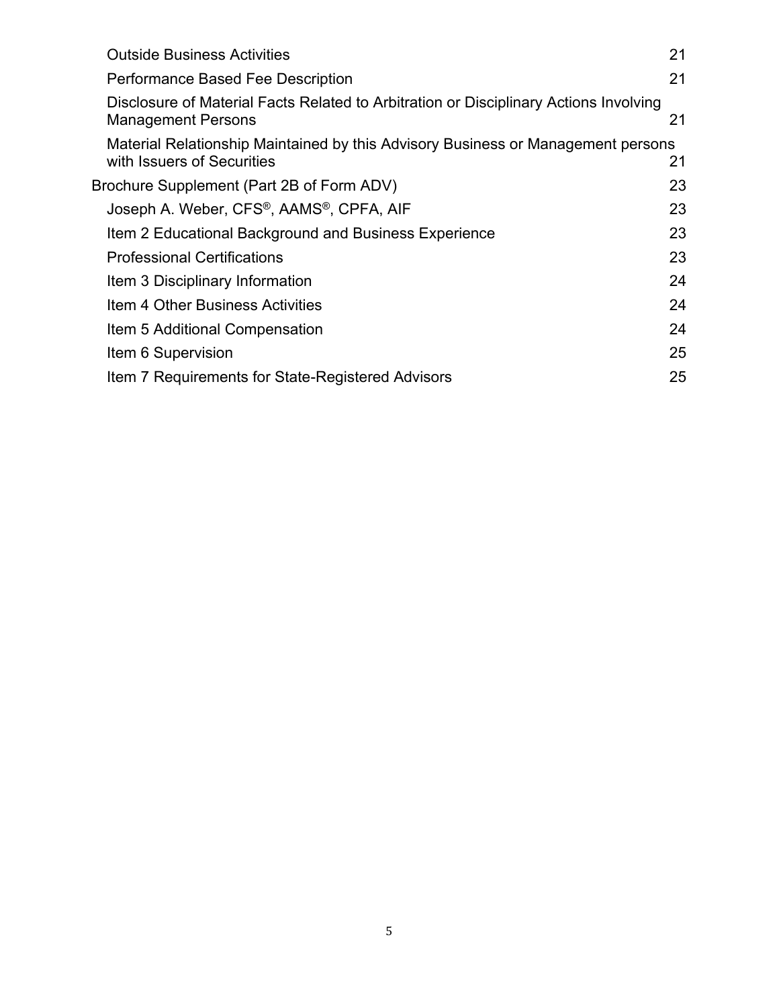| <b>Outside Business Activities</b>                                                                                 | 21 |
|--------------------------------------------------------------------------------------------------------------------|----|
| Performance Based Fee Description                                                                                  | 21 |
| Disclosure of Material Facts Related to Arbitration or Disciplinary Actions Involving<br><b>Management Persons</b> | 21 |
| Material Relationship Maintained by this Advisory Business or Management persons<br>with Issuers of Securities     | 21 |
| Brochure Supplement (Part 2B of Form ADV)                                                                          | 23 |
| Joseph A. Weber, CFS®, AAMS®, CPFA, AIF                                                                            | 23 |
| Item 2 Educational Background and Business Experience                                                              | 23 |
| <b>Professional Certifications</b>                                                                                 | 23 |
| Item 3 Disciplinary Information                                                                                    | 24 |
| Item 4 Other Business Activities                                                                                   | 24 |
| Item 5 Additional Compensation                                                                                     | 24 |
| Item 6 Supervision                                                                                                 | 25 |
| Item 7 Requirements for State-Registered Advisors                                                                  | 25 |
|                                                                                                                    |    |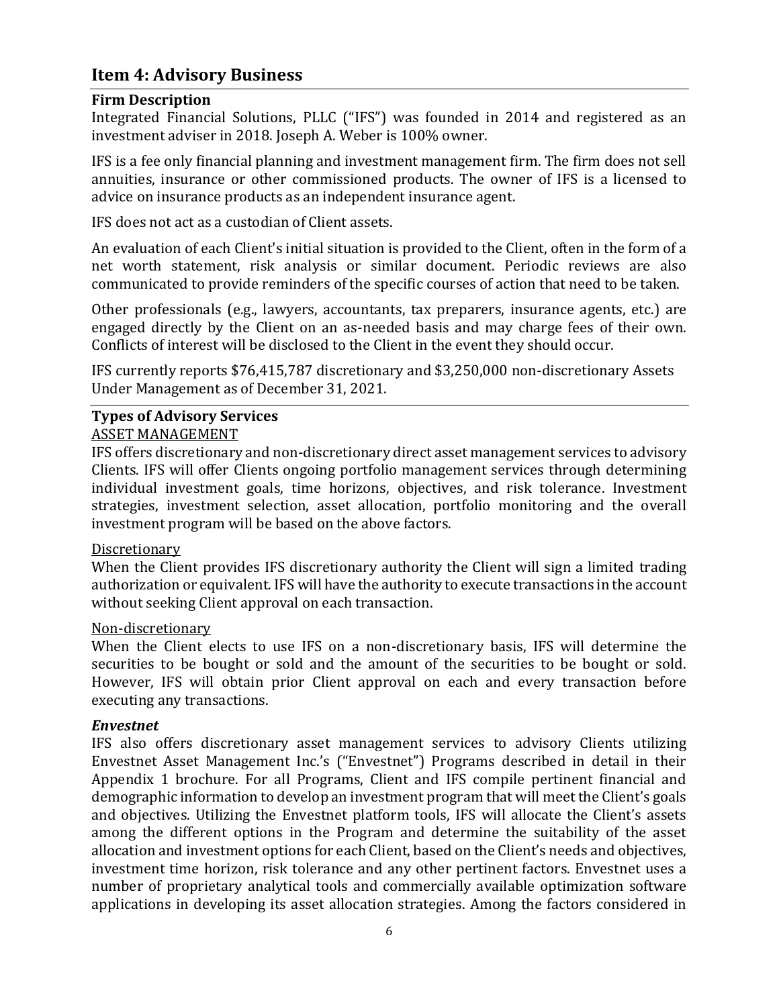## <span id="page-5-0"></span>**Item 4: Advisory Business**

#### <span id="page-5-1"></span>**Firm Description**

Integrated Financial Solutions, PLLC ("IFS") was founded in 2014 and registered as an investment adviser in 2018. Joseph A. Weber is 100% owner.

IFS is a fee only financial planning and investment management firm. The firm does not sell annuities, insurance or other commissioned products. The owner of IFS is a licensed to advice on insurance products as an independent insurance agent.

IFS does not act as a custodian of Client assets.

An evaluation of each Client's initial situation is provided to the Client, often in the form of a net worth statement, risk analysis or similar document. Periodic reviews are also communicated to provide reminders of the specific courses of action that need to be taken.

Other professionals (e.g., lawyers, accountants, tax preparers, insurance agents, etc.) are engaged directly by the Client on an as-needed basis and may charge fees of their own. Conflicts of interest will be disclosed to the Client in the event they should occur.

IFS currently reports \$76,415,787 discretionary and \$3,250,000 non-discretionary Assets Under Management as of December 31, 2021.

## <span id="page-5-2"></span>**Types of Advisory Services**

#### ASSET MANAGEMENT

IFS offers discretionary and non-discretionary direct asset management services to advisory Clients. IFS will offer Clients ongoing portfolio management services through determining individual investment goals, time horizons, objectives, and risk tolerance. Investment strategies, investment selection, asset allocation, portfolio monitoring and the overall investment program will be based on the above factors.

#### Discretionary

When the Client provides IFS discretionary authority the Client will sign a limited trading authorization or equivalent. IFS will have the authority to execute transactions in the account without seeking Client approval on each transaction.

#### Non-discretionary

When the Client elects to use IFS on a non-discretionary basis, IFS will determine the securities to be bought or sold and the amount of the securities to be bought or sold. However, IFS will obtain prior Client approval on each and every transaction before executing any transactions.

#### *Envestnet*

IFS also offers discretionary asset management services to advisory Clients utilizing Envestnet Asset Management Inc.'s ("Envestnet") Programs described in detail in their Appendix 1 brochure. For all Programs, Client and IFS compile pertinent financial and demographic information to develop an investment program that will meet the Client's goals and objectives. Utilizing the Envestnet platform tools, IFS will allocate the Client's assets among the different options in the Program and determine the suitability of the asset allocation and investment options for each Client, based on the Client's needs and objectives, investment time horizon, risk tolerance and any other pertinent factors. Envestnet uses a number of proprietary analytical tools and commercially available optimization software applications in developing its asset allocation strategies. Among the factors considered in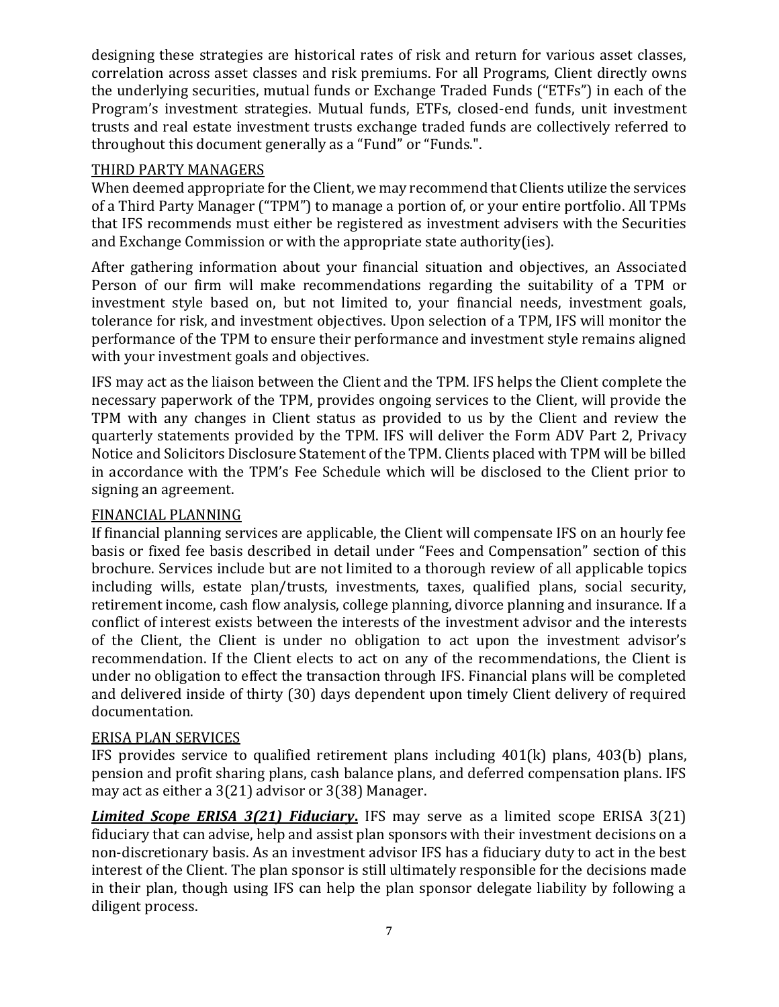designing these strategies are historical rates of risk and return for various asset classes, correlation across asset classes and risk premiums. For all Programs, Client directly owns the underlying securities, mutual funds or Exchange Traded Funds ("ETFs") in each of the Program's investment strategies. Mutual funds, ETFs, closed-end funds, unit investment trusts and real estate investment trusts exchange traded funds are collectively referred to throughout this document generally as a "Fund" or "Funds.".

#### THIRD PARTY MANAGERS

When deemed appropriate for the Client, we may recommend that Clients utilize the services of a Third Party Manager ("TPM") to manage a portion of, or your entire portfolio. All TPMs that IFS recommends must either be registered as investment advisers with the Securities and Exchange Commission or with the appropriate state authority(ies).

After gathering information about your financial situation and objectives, an Associated Person of our firm will make recommendations regarding the suitability of a TPM or investment style based on, but not limited to, your financial needs, investment goals, tolerance for risk, and investment objectives. Upon selection of a TPM, IFS will monitor the performance of the TPM to ensure their performance and investment style remains aligned with your investment goals and objectives.

IFS may act as the liaison between the Client and the TPM. IFS helps the Client complete the necessary paperwork of the TPM, provides ongoing services to the Client, will provide the TPM with any changes in Client status as provided to us by the Client and review the quarterly statements provided by the TPM. IFS will deliver the Form ADV Part 2, Privacy Notice and Solicitors Disclosure Statement of the TPM. Clients placed with TPM will be billed in accordance with the TPM's Fee Schedule which will be disclosed to the Client prior to signing an agreement.

#### FINANCIAL PLANNING

If financial planning services are applicable, the Client will compensate IFS on an hourly fee basis or fixed fee basis described in detail under "Fees and Compensation" section of this brochure. Services include but are not limited to a thorough review of all applicable topics including wills, estate plan/trusts, investments, taxes, qualified plans, social security, retirement income, cash flow analysis, college planning, divorce planning and insurance. If a conflict of interest exists between the interests of the investment advisor and the interests of the Client, the Client is under no obligation to act upon the investment advisor's recommendation. If the Client elects to act on any of the recommendations, the Client is under no obligation to effect the transaction through IFS. Financial plans will be completed and delivered inside of thirty (30) days dependent upon timely Client delivery of required documentation.

#### ERISA PLAN SERVICES

IFS provides service to qualified retirement plans including 401(k) plans, 403(b) plans, pension and profit sharing plans, cash balance plans, and deferred compensation plans. IFS may act as either a 3(21) advisor or 3(38) Manager.

*Limited Scope ERISA 3(21) Fiduciary***.** IFS may serve as a limited scope ERISA 3(21) fiduciary that can advise, help and assist plan sponsors with their investment decisions on a non-discretionary basis. As an investment advisor IFS has a fiduciary duty to act in the best interest of the Client. The plan sponsor is still ultimately responsible for the decisions made in their plan, though using IFS can help the plan sponsor delegate liability by following a diligent process.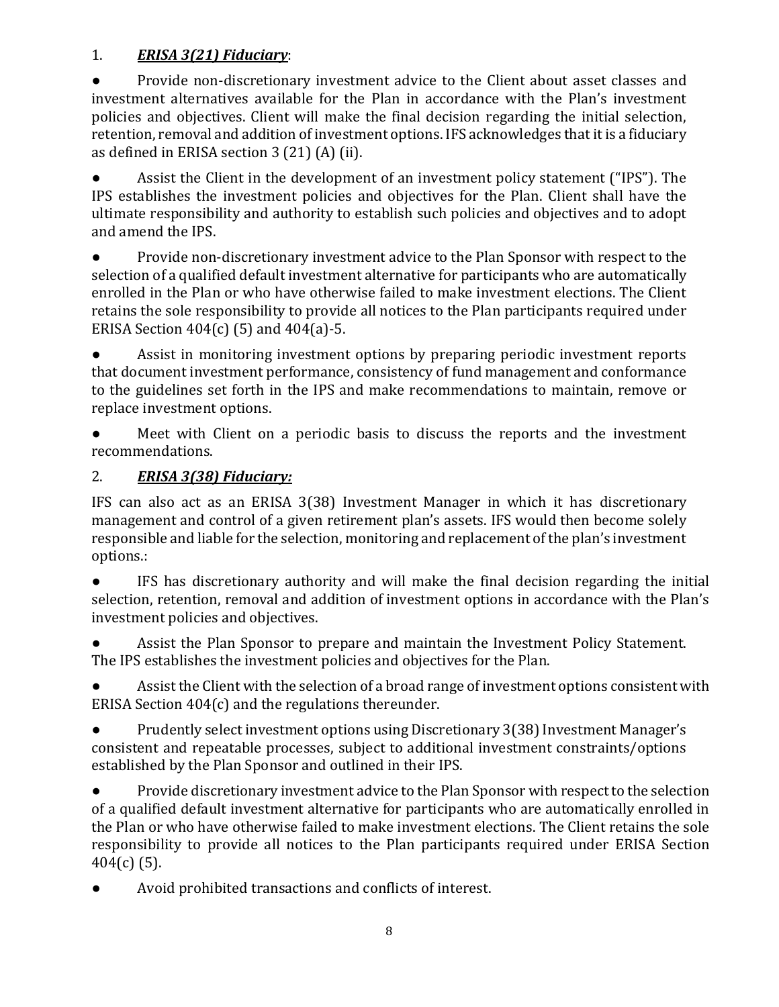## 1. *ERISA 3(21) Fiduciary*:

● Provide non-discretionary investment advice to the Client about asset classes and investment alternatives available for the Plan in accordance with the Plan's investment policies and objectives. Client will make the final decision regarding the initial selection, retention, removal and addition of investment options. IFS acknowledges that it is a fiduciary as defined in ERISA section 3 (21) (A) (ii).

Assist the Client in the development of an investment policy statement ("IPS"). The IPS establishes the investment policies and objectives for the Plan. Client shall have the ultimate responsibility and authority to establish such policies and objectives and to adopt and amend the IPS.

● Provide non-discretionary investment advice to the Plan Sponsor with respect to the selection of a qualified default investment alternative for participants who are automatically enrolled in the Plan or who have otherwise failed to make investment elections. The Client retains the sole responsibility to provide all notices to the Plan participants required under ERISA Section  $404(c)$  (5) and  $404(a)$ -5.

Assist in monitoring investment options by preparing periodic investment reports that document investment performance, consistency of fund management and conformance to the guidelines set forth in the IPS and make recommendations to maintain, remove or replace investment options.

Meet with Client on a periodic basis to discuss the reports and the investment recommendations.

## 2. *ERISA 3(38) Fiduciary:*

IFS can also act as an ERISA 3(38) Investment Manager in which it has discretionary management and control of a given retirement plan's assets. IFS would then become solely responsible and liable for the selection, monitoring and replacement of the plan's investment options.:

IFS has discretionary authority and will make the final decision regarding the initial selection, retention, removal and addition of investment options in accordance with the Plan's investment policies and objectives.

Assist the Plan Sponsor to prepare and maintain the Investment Policy Statement. The IPS establishes the investment policies and objectives for the Plan.

Assist the Client with the selection of a broad range of investment options consistent with ERISA Section 404(c) and the regulations thereunder.

● Prudently select investment options using Discretionary 3(38) Investment Manager's consistent and repeatable processes, subject to additional investment constraints/options established by the Plan Sponsor and outlined in their IPS.

● Provide discretionary investment advice to the Plan Sponsor with respect to the selection of a qualified default investment alternative for participants who are automatically enrolled in the Plan or who have otherwise failed to make investment elections. The Client retains the sole responsibility to provide all notices to the Plan participants required under ERISA Section 404(c) (5).

Avoid prohibited transactions and conflicts of interest.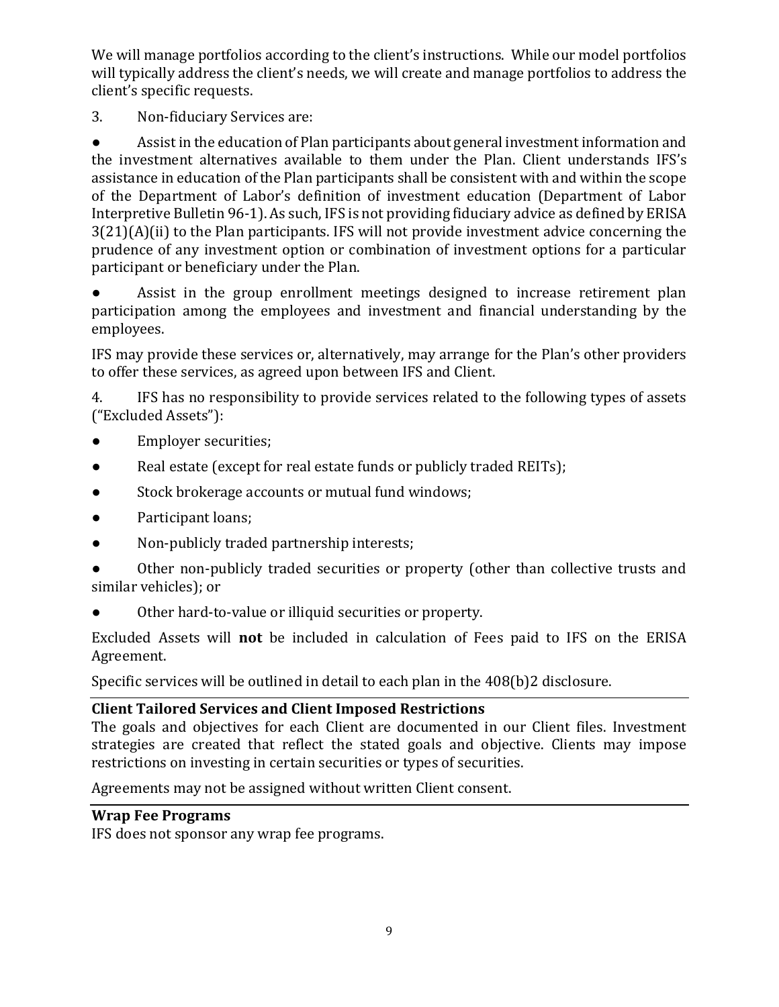We will manage portfolios according to the client's instructions. While our model portfolios will typically address the client's needs, we will create and manage portfolios to address the client's specific requests.

3. Non-fiduciary Services are:

● Assist in the education of Plan participants about general investment information and the investment alternatives available to them under the Plan. Client understands IFS's assistance in education of the Plan participants shall be consistent with and within the scope of the Department of Labor's definition of investment education (Department of Labor Interpretive Bulletin 96-1). As such, IFS is not providing fiduciary advice as defined by ERISA 3(21)(A)(ii) to the Plan participants. IFS will not provide investment advice concerning the prudence of any investment option or combination of investment options for a particular participant or beneficiary under the Plan.

Assist in the group enrollment meetings designed to increase retirement plan participation among the employees and investment and financial understanding by the employees.

IFS may provide these services or, alternatively, may arrange for the Plan's other providers to offer these services, as agreed upon between IFS and Client.

4. IFS has no responsibility to provide services related to the following types of assets ("Excluded Assets"):

- Employer securities;
- Real estate (except for real estate funds or publicly traded REITs);
- Stock brokerage accounts or mutual fund windows;
- Participant loans;
- Non-publicly traded partnership interests;

Other non-publicly traded securities or property (other than collective trusts and similar vehicles); or

● Other hard-to-value or illiquid securities or property.

Excluded Assets will **not** be included in calculation of Fees paid to IFS on the ERISA Agreement.

Specific services will be outlined in detail to each plan in the 408(b)2 disclosure.

#### <span id="page-8-0"></span>**Client Tailored Services and Client Imposed Restrictions**

The goals and objectives for each Client are documented in our Client files. Investment strategies are created that reflect the stated goals and objective. Clients may impose restrictions on investing in certain securities or types of securities.

Agreements may not be assigned without written Client consent.

#### <span id="page-8-1"></span>**Wrap Fee Programs**

IFS does not sponsor any wrap fee programs.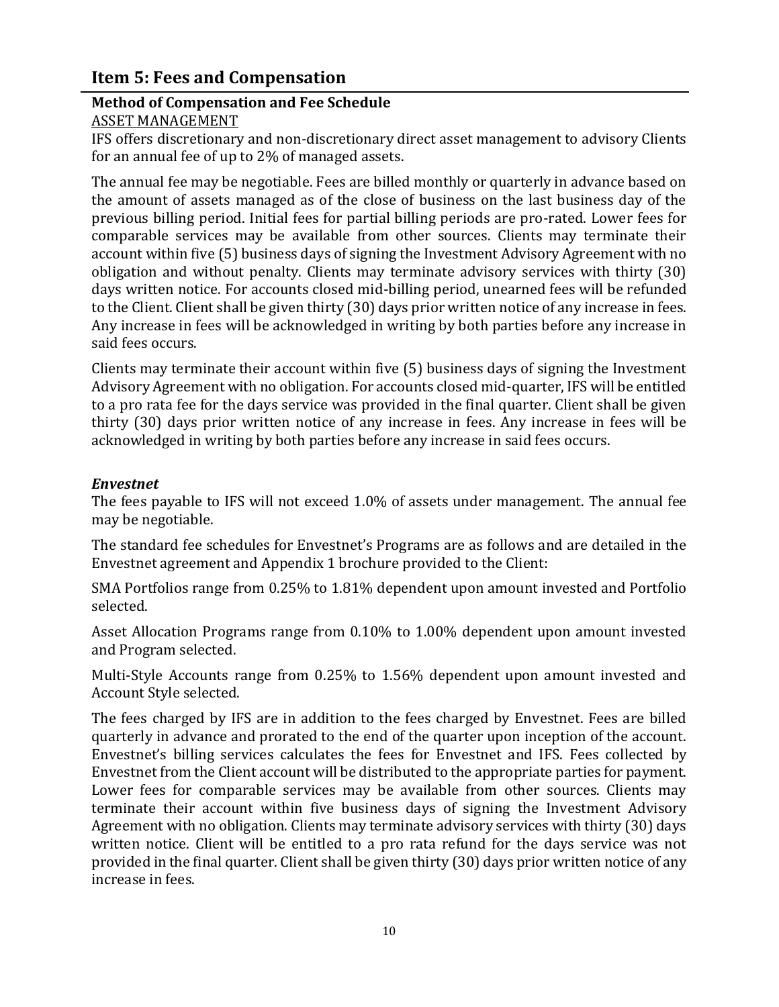## <span id="page-9-0"></span>**Item 5: Fees and Compensation**

## <span id="page-9-1"></span>**Method of Compensation and Fee Schedule**

ASSET MANAGEMENT

IFS offers discretionary and non-discretionary direct asset management to advisory Clients for an annual fee of up to 2% of managed assets.

The annual fee may be negotiable. Fees are billed monthly or quarterly in advance based on the amount of assets managed as of the close of business on the last business day of the previous billing period. Initial fees for partial billing periods are pro-rated. Lower fees for comparable services may be available from other sources. Clients may terminate their account within five (5) business days of signing the Investment Advisory Agreement with no obligation and without penalty. Clients may terminate advisory services with thirty (30) days written notice. For accounts closed mid-billing period, unearned fees will be refunded to the Client. Client shall be given thirty (30) days prior written notice of any increase in fees. Any increase in fees will be acknowledged in writing by both parties before any increase in said fees occurs.

Clients may terminate their account within five (5) business days of signing the Investment Advisory Agreement with no obligation. For accounts closed mid-quarter, IFS will be entitled to a pro rata fee for the days service was provided in the final quarter. Client shall be given thirty (30) days prior written notice of any increase in fees. Any increase in fees will be acknowledged in writing by both parties before any increase in said fees occurs.

#### *Envestnet*

The fees payable to IFS will not exceed 1.0% of assets under management. The annual fee may be negotiable.

The standard fee schedules for Envestnet's Programs are as follows and are detailed in the Envestnet agreement and Appendix 1 brochure provided to the Client:

SMA Portfolios range from 0.25% to 1.81% dependent upon amount invested and Portfolio selected.

Asset Allocation Programs range from 0.10% to 1.00% dependent upon amount invested and Program selected.

Multi-Style Accounts range from 0.25% to 1.56% dependent upon amount invested and Account Style selected.

The fees charged by IFS are in addition to the fees charged by Envestnet. Fees are billed quarterly in advance and prorated to the end of the quarter upon inception of the account. Envestnet's billing services calculates the fees for Envestnet and IFS. Fees collected by Envestnet from the Client account will be distributed to the appropriate parties for payment. Lower fees for comparable services may be available from other sources. Clients may terminate their account within five business days of signing the Investment Advisory Agreement with no obligation. Clients may terminate advisory services with thirty (30) days written notice. Client will be entitled to a pro rata refund for the days service was not provided in the final quarter. Client shall be given thirty (30) days prior written notice of any increase in fees.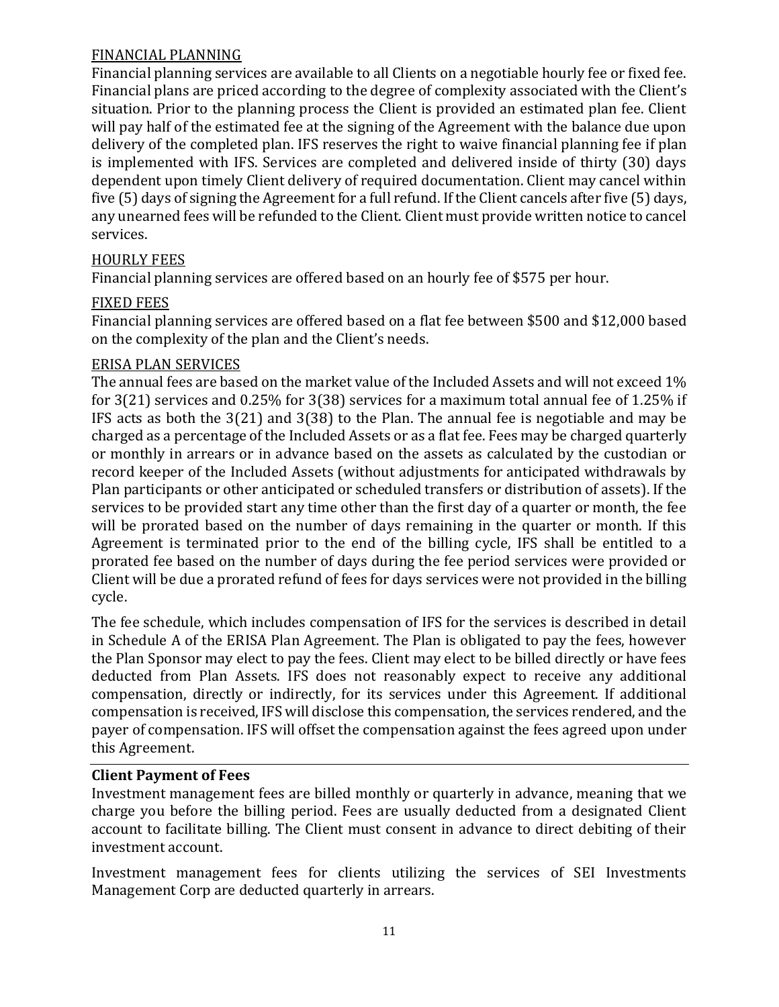#### FINANCIAL PLANNING

Financial planning services are available to all Clients on a negotiable hourly fee or fixed fee. Financial plans are priced according to the degree of complexity associated with the Client's situation. Prior to the planning process the Client is provided an estimated plan fee. Client will pay half of the estimated fee at the signing of the Agreement with the balance due upon delivery of the completed plan. IFS reserves the right to waive financial planning fee if plan is implemented with IFS. Services are completed and delivered inside of thirty (30) days dependent upon timely Client delivery of required documentation. Client may cancel within five (5) days of signing the Agreement for a full refund. If the Client cancels after five (5) days, any unearned fees will be refunded to the Client. Client must provide written notice to cancel services.

#### HOURLY FEES

Financial planning services are offered based on an hourly fee of \$575 per hour.

#### FIXED FEES

Financial planning services are offered based on a flat fee between \$500 and \$12,000 based on the complexity of the plan and the Client's needs.

#### ERISA PLAN SERVICES

The annual fees are based on the market value of the Included Assets and will not exceed 1% for 3(21) services and 0.25% for 3(38) services for a maximum total annual fee of 1.25% if IFS acts as both the 3(21) and 3(38) to the Plan. The annual fee is negotiable and may be charged as a percentage of the Included Assets or as a flat fee. Fees may be charged quarterly or monthly in arrears or in advance based on the assets as calculated by the custodian or record keeper of the Included Assets (without adjustments for anticipated withdrawals by Plan participants or other anticipated or scheduled transfers or distribution of assets). If the services to be provided start any time other than the first day of a quarter or month, the fee will be prorated based on the number of days remaining in the quarter or month. If this Agreement is terminated prior to the end of the billing cycle, IFS shall be entitled to a prorated fee based on the number of days during the fee period services were provided or Client will be due a prorated refund of fees for days services were not provided in the billing cycle.

The fee schedule, which includes compensation of IFS for the services is described in detail in Schedule A of the ERISA Plan Agreement. The Plan is obligated to pay the fees, however the Plan Sponsor may elect to pay the fees. Client may elect to be billed directly or have fees deducted from Plan Assets. IFS does not reasonably expect to receive any additional compensation, directly or indirectly, for its services under this Agreement. If additional compensation is received, IFS will disclose this compensation, the services rendered, and the payer of compensation. IFS will offset the compensation against the fees agreed upon under this Agreement.

#### <span id="page-10-0"></span>**Client Payment of Fees**

Investment management fees are billed monthly or quarterly in advance, meaning that we charge you before the billing period. Fees are usually deducted from a designated Client account to facilitate billing. The Client must consent in advance to direct debiting of their investment account.

Investment management fees for clients utilizing the services of SEI Investments Management Corp are deducted quarterly in arrears.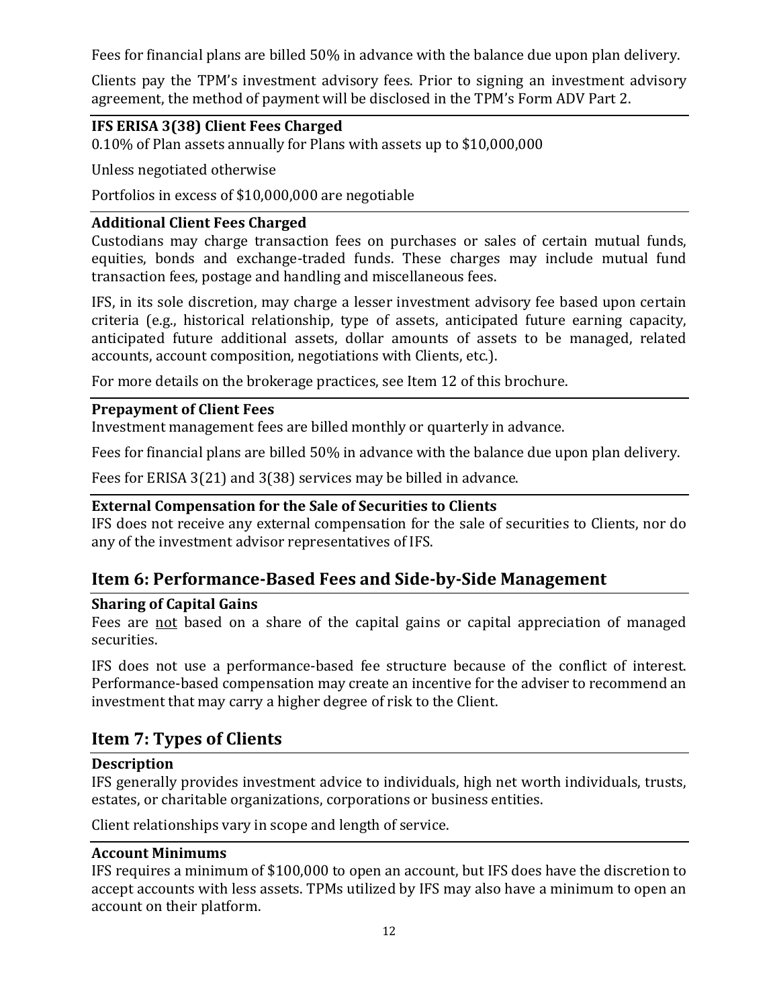Fees for financial plans are billed 50% in advance with the balance due upon plan delivery.

Clients pay the TPM's investment advisory fees. Prior to signing an investment advisory agreement, the method of payment will be disclosed in the TPM's Form ADV Part 2.

## <span id="page-11-0"></span>**IFS ERISA 3(38) Client Fees Charged**

0.10% of Plan assets annually for Plans with assets up to \$10,000,000

Unless negotiated otherwise

Portfolios in excess of \$10,000,000 are negotiable

#### <span id="page-11-1"></span>**Additional Client Fees Charged**

Custodians may charge transaction fees on purchases or sales of certain mutual funds, equities, bonds and exchange-traded funds. These charges may include mutual fund transaction fees, postage and handling and miscellaneous fees.

IFS, in its sole discretion, may charge a lesser investment advisory fee based upon certain criteria (e.g., historical relationship, type of assets, anticipated future earning capacity, anticipated future additional assets, dollar amounts of assets to be managed, related accounts, account composition, negotiations with Clients, etc.).

For more details on the brokerage practices, see Item 12 of this brochure.

#### <span id="page-11-2"></span>**Prepayment of Client Fees**

Investment management fees are billed monthly or quarterly in advance.

Fees for financial plans are billed 50% in advance with the balance due upon plan delivery.

Fees for ERISA 3(21) and 3(38) services may be billed in advance.

#### <span id="page-11-3"></span>**External Compensation for the Sale of Securities to Clients**

IFS does not receive any external compensation for the sale of securities to Clients, nor do any of the investment advisor representatives of IFS.

## <span id="page-11-4"></span>**Item 6: Performance-Based Fees and Side-by-Side Management**

#### <span id="page-11-5"></span>**Sharing of Capital Gains**

Fees are not based on a share of the capital gains or capital appreciation of managed securities.

IFS does not use a performance-based fee structure because of the conflict of interest. Performance-based compensation may create an incentive for the adviser to recommend an investment that may carry a higher degree of risk to the Client.

## <span id="page-11-6"></span>**Item 7: Types of Clients**

#### <span id="page-11-7"></span>**Description**

IFS generally provides investment advice to individuals, high net worth individuals, trusts, estates, or charitable organizations, corporations or business entities.

Client relationships vary in scope and length of service.

#### <span id="page-11-8"></span>**Account Minimums**

IFS requires a minimum of \$100,000 to open an account, but IFS does have the discretion to accept accounts with less assets. TPMs utilized by IFS may also have a minimum to open an account on their platform.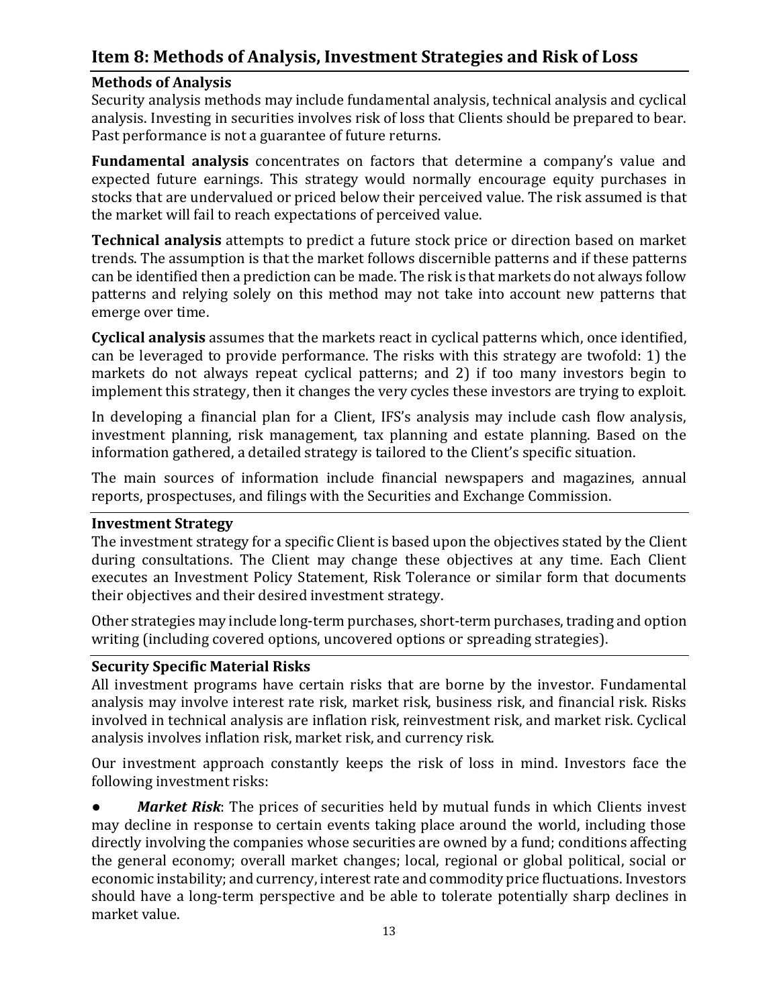## <span id="page-12-0"></span>**Item 8: Methods of Analysis, Investment Strategies and Risk of Loss**

#### <span id="page-12-1"></span>**Methods of Analysis**

Security analysis methods may include fundamental analysis, technical analysis and cyclical analysis. Investing in securities involves risk of loss that Clients should be prepared to bear. Past performance is not a guarantee of future returns.

**Fundamental analysis** concentrates on factors that determine a company's value and expected future earnings. This strategy would normally encourage equity purchases in stocks that are undervalued or priced below their perceived value. The risk assumed is that the market will fail to reach expectations of perceived value.

**Technical analysis** attempts to predict a future stock price or direction based on market trends. The assumption is that the market follows discernible patterns and if these patterns can be identified then a prediction can be made. The risk is that markets do not always follow patterns and relying solely on this method may not take into account new patterns that emerge over time.

**Cyclical analysis** assumes that the markets react in cyclical patterns which, once identified, can be leveraged to provide performance. The risks with this strategy are twofold: 1) the markets do not always repeat cyclical patterns; and 2) if too many investors begin to implement this strategy, then it changes the very cycles these investors are trying to exploit.

In developing a financial plan for a Client, IFS's analysis may include cash flow analysis, investment planning, risk management, tax planning and estate planning. Based on the information gathered, a detailed strategy is tailored to the Client's specific situation.

The main sources of information include financial newspapers and magazines, annual reports, prospectuses, and filings with the Securities and Exchange Commission.

#### <span id="page-12-2"></span>**Investment Strategy**

The investment strategy for a specific Client is based upon the objectives stated by the Client during consultations. The Client may change these objectives at any time. Each Client executes an Investment Policy Statement, Risk Tolerance or similar form that documents their objectives and their desired investment strategy.

Other strategies may include long-term purchases, short-term purchases, trading and option writing (including covered options, uncovered options or spreading strategies).

#### <span id="page-12-3"></span>**Security Specific Material Risks**

All investment programs have certain risks that are borne by the investor. Fundamental analysis may involve interest rate risk, market risk, business risk, and financial risk. Risks involved in technical analysis are inflation risk, reinvestment risk, and market risk. Cyclical analysis involves inflation risk, market risk, and currency risk.

Our investment approach constantly keeps the risk of loss in mind. Investors face the following investment risks:

● *Market Risk*: The prices of securities held by mutual funds in which Clients invest may decline in response to certain events taking place around the world, including those directly involving the companies whose securities are owned by a fund; conditions affecting the general economy; overall market changes; local, regional or global political, social or economic instability; and currency, interest rate and commodity price fluctuations. Investors should have a long-term perspective and be able to tolerate potentially sharp declines in market value.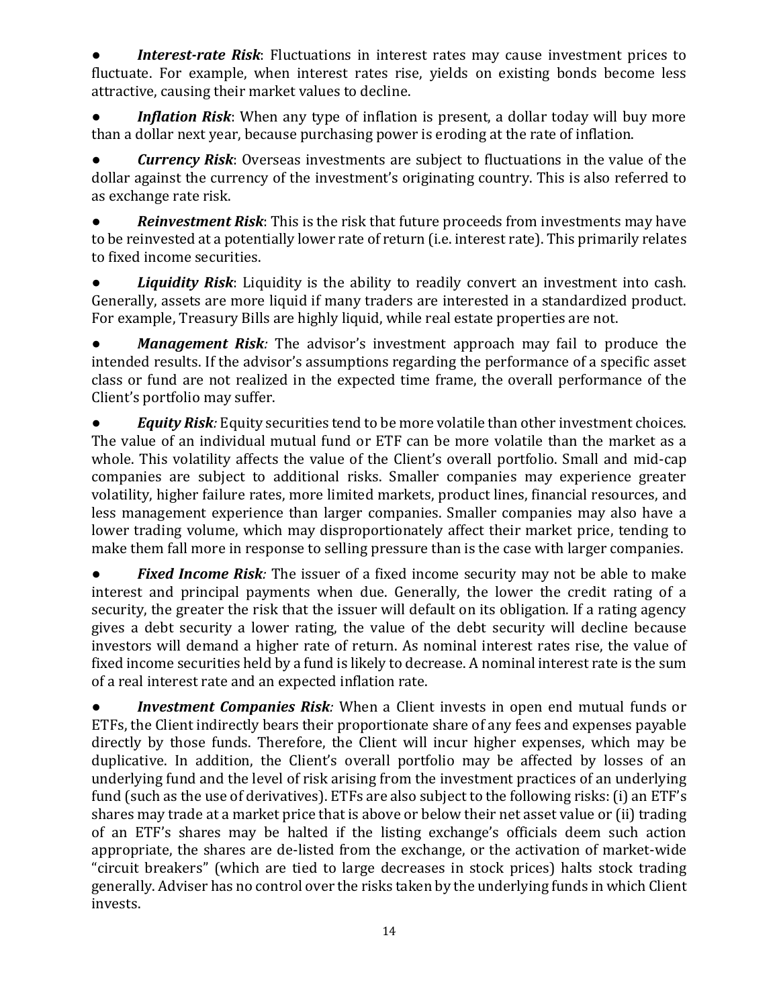**Interest-rate Risk**: Fluctuations in interest rates may cause investment prices to fluctuate. For example, when interest rates rise, yields on existing bonds become less attractive, causing their market values to decline.

● *Inflation Risk*: When any type of inflation is present, a dollar today will buy more than a dollar next year, because purchasing power is eroding at the rate of inflation.

● *Currency Risk*: Overseas investments are subject to fluctuations in the value of the dollar against the currency of the investment's originating country. This is also referred to as exchange rate risk.

● *Reinvestment Risk*: This is the risk that future proceeds from investments may have to be reinvested at a potentially lower rate of return (i.e. interest rate). This primarily relates to fixed income securities.

Liquidity Risk: Liquidity is the ability to readily convert an investment into cash. Generally, assets are more liquid if many traders are interested in a standardized product. For example, Treasury Bills are highly liquid, while real estate properties are not.

*Management Risk:* The advisor's investment approach may fail to produce the intended results. If the advisor's assumptions regarding the performance of a specific asset class or fund are not realized in the expected time frame, the overall performance of the Client's portfolio may suffer.

*Equity Risk:* Equity securities tend to be more volatile than other investment choices. The value of an individual mutual fund or ETF can be more volatile than the market as a whole. This volatility affects the value of the Client's overall portfolio. Small and mid-cap companies are subject to additional risks. Smaller companies may experience greater volatility, higher failure rates, more limited markets, product lines, financial resources, and less management experience than larger companies. Smaller companies may also have a lower trading volume, which may disproportionately affect their market price, tending to make them fall more in response to selling pressure than is the case with larger companies.

● *Fixed Income Risk:* The issuer of a fixed income security may not be able to make interest and principal payments when due. Generally, the lower the credit rating of a security, the greater the risk that the issuer will default on its obligation. If a rating agency gives a debt security a lower rating, the value of the debt security will decline because investors will demand a higher rate of return. As nominal interest rates rise, the value of fixed income securities held by a fund is likely to decrease. A nominal interest rate is the sum of a real interest rate and an expected inflation rate.

**Investment Companies Risk**: When a Client invests in open end mutual funds or ETFs, the Client indirectly bears their proportionate share of any fees and expenses payable directly by those funds. Therefore, the Client will incur higher expenses, which may be duplicative. In addition, the Client's overall portfolio may be affected by losses of an underlying fund and the level of risk arising from the investment practices of an underlying fund (such as the use of derivatives). ETFs are also subject to the following risks: (i) an ETF's shares may trade at a market price that is above or below their net asset value or (ii) trading of an ETF's shares may be halted if the listing exchange's officials deem such action appropriate, the shares are de-listed from the exchange, or the activation of market-wide "circuit breakers" (which are tied to large decreases in stock prices) halts stock trading generally. Adviser has no control over the risks taken by the underlying funds in which Client invests.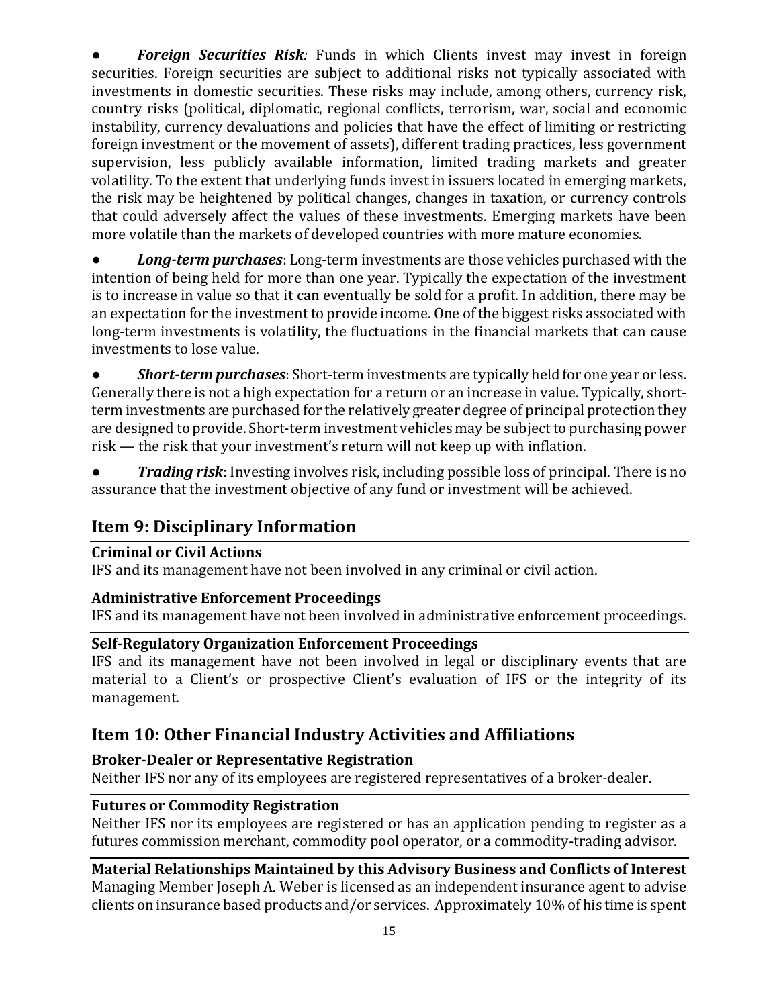**Foreign Securities Risk**: Funds in which Clients invest may invest in foreign securities. Foreign securities are subject to additional risks not typically associated with investments in domestic securities. These risks may include, among others, currency risk, country risks (political, diplomatic, regional conflicts, terrorism, war, social and economic instability, currency devaluations and policies that have the effect of limiting or restricting foreign investment or the movement of assets), different trading practices, less government supervision, less publicly available information, limited trading markets and greater volatility. To the extent that underlying funds invest in issuers located in emerging markets, the risk may be heightened by political changes, changes in taxation, or currency controls that could adversely affect the values of these investments. Emerging markets have been more volatile than the markets of developed countries with more mature economies.

**Long-term purchases**: Long-term investments are those vehicles purchased with the intention of being held for more than one year. Typically the expectation of the investment is to increase in value so that it can eventually be sold for a profit. In addition, there may be an expectation for the investment to provide income. One of the biggest risks associated with long-term investments is volatility, the fluctuations in the financial markets that can cause investments to lose value.

● *Short-term purchases*: Short-term investments are typically held for one year or less. Generally there is not a high expectation for a return or an increase in value. Typically, shortterm investments are purchased for the relatively greater degree of principal protection they are designed to provide. Short-term investment vehicles may be subject to purchasing power risk — the risk that your investment's return will not keep up with inflation.

● *Trading risk*: Investing involves risk, including possible loss of principal. There is no assurance that the investment objective of any fund or investment will be achieved.

## <span id="page-14-0"></span>**Item 9: Disciplinary Information**

#### <span id="page-14-1"></span>**Criminal or Civil Actions**

IFS and its management have not been involved in any criminal or civil action.

#### <span id="page-14-2"></span>**Administrative Enforcement Proceedings**

IFS and its management have not been involved in administrative enforcement proceedings.

#### <span id="page-14-3"></span>**Self-Regulatory Organization Enforcement Proceedings**

IFS and its management have not been involved in legal or disciplinary events that are material to a Client's or prospective Client's evaluation of IFS or the integrity of its management.

## <span id="page-14-4"></span>**Item 10: Other Financial Industry Activities and Affiliations**

## <span id="page-14-5"></span>**Broker-Dealer or Representative Registration**

Neither IFS nor any of its employees are registered representatives of a broker-dealer.

## <span id="page-14-6"></span>**Futures or Commodity Registration**

Neither IFS nor its employees are registered or has an application pending to register as a futures commission merchant, commodity pool operator, or a commodity-trading advisor.

<span id="page-14-7"></span>**Material Relationships Maintained by this Advisory Business and Conflicts of Interest** Managing Member Joseph A. Weber is licensed as an independent insurance agent to advise clients on insurance based products and/or services. Approximately 10% of his time is spent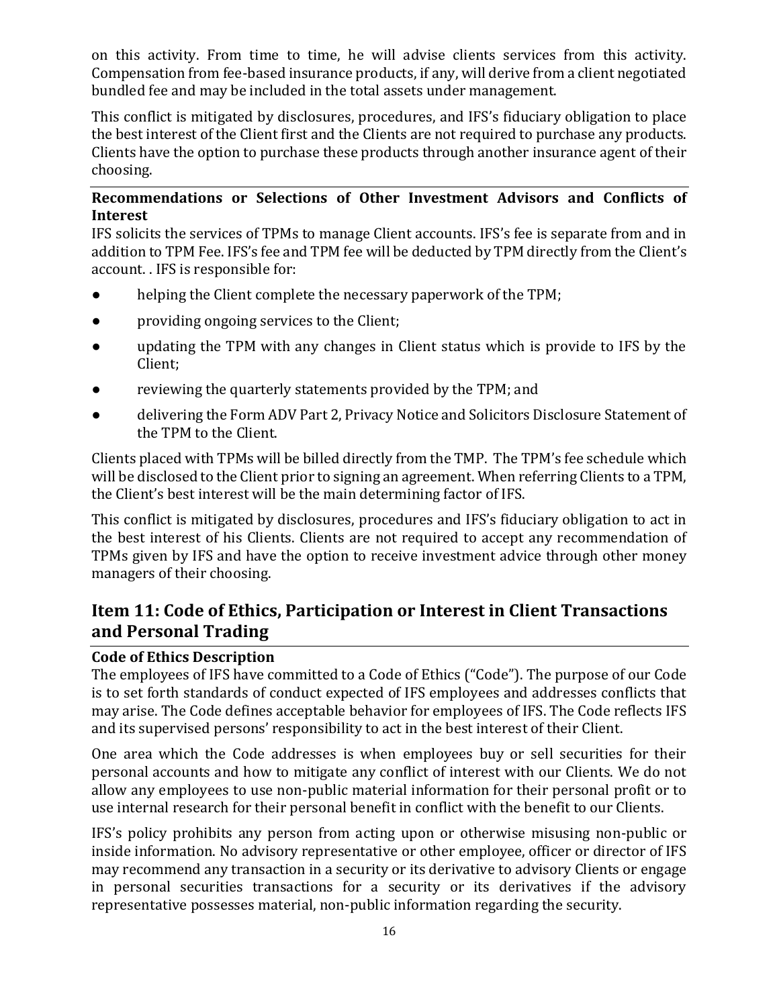on this activity. From time to time, he will advise clients services from this activity. Compensation from fee-based insurance products, if any, will derive from a client negotiated bundled fee and may be included in the total assets under management.

This conflict is mitigated by disclosures, procedures, and IFS's fiduciary obligation to place the best interest of the Client first and the Clients are not required to purchase any products. Clients have the option to purchase these products through another insurance agent of their choosing.

#### <span id="page-15-0"></span>**Recommendations or Selections of Other Investment Advisors and Conflicts of Interest**

IFS solicits the services of TPMs to manage Client accounts. IFS's fee is separate from and in addition to TPM Fee. IFS's fee and TPM fee will be deducted by TPM directly from the Client's account. . IFS is responsible for:

- helping the Client complete the necessary paperwork of the TPM;
- providing ongoing services to the Client;
- updating the TPM with any changes in Client status which is provide to IFS by the Client;
- reviewing the quarterly statements provided by the TPM; and
- delivering the Form ADV Part 2, Privacy Notice and Solicitors Disclosure Statement of the TPM to the Client.

Clients placed with TPMs will be billed directly from the TMP. The TPM's fee schedule which will be disclosed to the Client prior to signing an agreement. When referring Clients to a TPM, the Client's best interest will be the main determining factor of IFS.

This conflict is mitigated by disclosures, procedures and IFS's fiduciary obligation to act in the best interest of his Clients. Clients are not required to accept any recommendation of TPMs given by IFS and have the option to receive investment advice through other money managers of their choosing.

## <span id="page-15-1"></span>**Item 11: Code of Ethics, Participation or Interest in Client Transactions and Personal Trading**

#### <span id="page-15-2"></span>**Code of Ethics Description**

The employees of IFS have committed to a Code of Ethics ("Code"). The purpose of our Code is to set forth standards of conduct expected of IFS employees and addresses conflicts that may arise. The Code defines acceptable behavior for employees of IFS. The Code reflects IFS and its supervised persons' responsibility to act in the best interest of their Client.

One area which the Code addresses is when employees buy or sell securities for their personal accounts and how to mitigate any conflict of interest with our Clients. We do not allow any employees to use non-public material information for their personal profit or to use internal research for their personal benefit in conflict with the benefit to our Clients.

IFS's policy prohibits any person from acting upon or otherwise misusing non-public or inside information. No advisory representative or other employee, officer or director of IFS may recommend any transaction in a security or its derivative to advisory Clients or engage in personal securities transactions for a security or its derivatives if the advisory representative possesses material, non-public information regarding the security.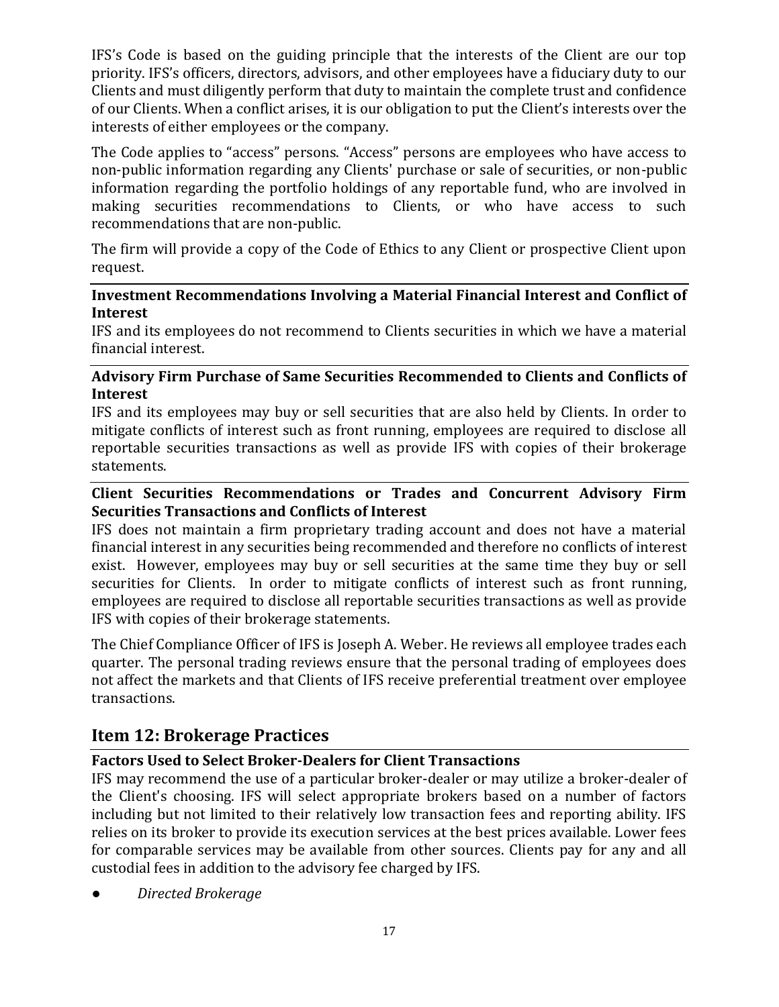IFS's Code is based on the guiding principle that the interests of the Client are our top priority. IFS's officers, directors, advisors, and other employees have a fiduciary duty to our Clients and must diligently perform that duty to maintain the complete trust and confidence of our Clients. When a conflict arises, it is our obligation to put the Client's interests over the interests of either employees or the company.

The Code applies to "access" persons. "Access" persons are employees who have access to non-public information regarding any Clients' purchase or sale of securities, or non-public information regarding the portfolio holdings of any reportable fund, who are involved in making securities recommendations to Clients, or who have access to such recommendations that are non-public.

The firm will provide a copy of the Code of Ethics to any Client or prospective Client upon request.

#### <span id="page-16-0"></span>**Investment Recommendations Involving a Material Financial Interest and Conflict of Interest**

IFS and its employees do not recommend to Clients securities in which we have a material financial interest.

#### <span id="page-16-1"></span>**Advisory Firm Purchase of Same Securities Recommended to Clients and Conflicts of Interest**

IFS and its employees may buy or sell securities that are also held by Clients. In order to mitigate conflicts of interest such as front running, employees are required to disclose all reportable securities transactions as well as provide IFS with copies of their brokerage statements.

#### <span id="page-16-2"></span>**Client Securities Recommendations or Trades and Concurrent Advisory Firm Securities Transactions and Conflicts of Interest**

IFS does not maintain a firm proprietary trading account and does not have a material financial interest in any securities being recommended and therefore no conflicts of interest exist. However, employees may buy or sell securities at the same time they buy or sell securities for Clients. In order to mitigate conflicts of interest such as front running, employees are required to disclose all reportable securities transactions as well as provide IFS with copies of their brokerage statements.

The Chief Compliance Officer of IFS is Joseph A. Weber. He reviews all employee trades each quarter. The personal trading reviews ensure that the personal trading of employees does not affect the markets and that Clients of IFS receive preferential treatment over employee transactions.

## <span id="page-16-3"></span>**Item 12: Brokerage Practices**

#### <span id="page-16-4"></span>**Factors Used to Select Broker-Dealers for Client Transactions**

IFS may recommend the use of a particular broker-dealer or may utilize a broker-dealer of the Client's choosing. IFS will select appropriate brokers based on a number of factors including but not limited to their relatively low transaction fees and reporting ability. IFS relies on its broker to provide its execution services at the best prices available. Lower fees for comparable services may be available from other sources. Clients pay for any and all custodial fees in addition to the advisory fee charged by IFS.

● *Directed Brokerage*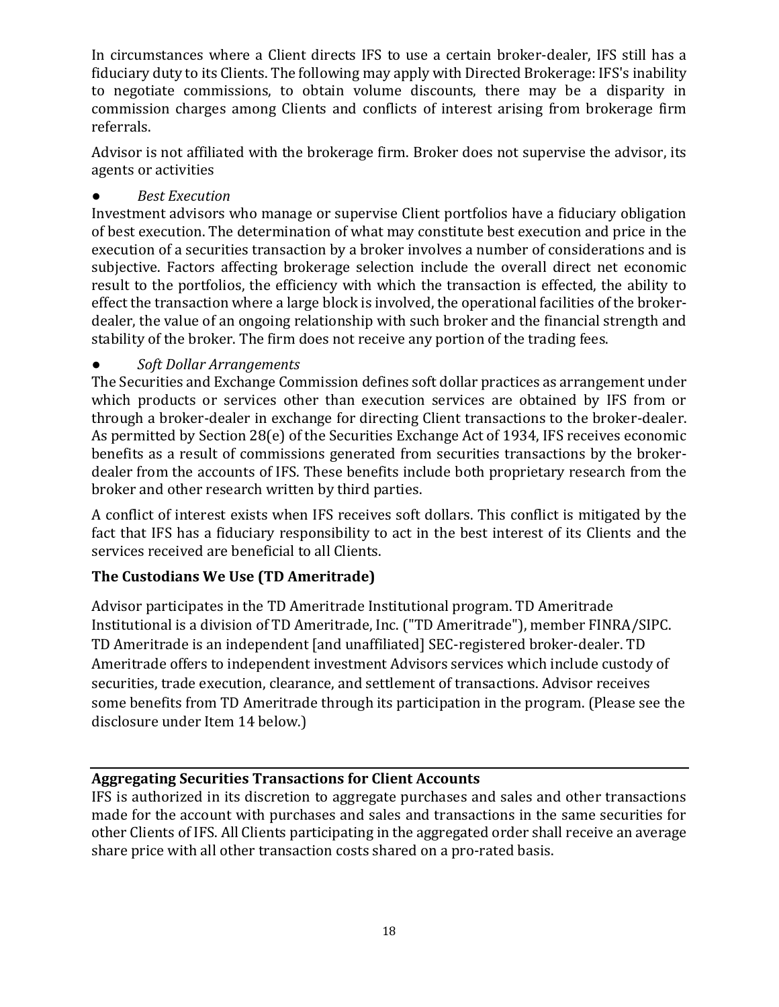In circumstances where a Client directs IFS to use a certain broker-dealer, IFS still has a fiduciary duty to its Clients. The following may apply with Directed Brokerage: IFS's inability to negotiate commissions, to obtain volume discounts, there may be a disparity in commission charges among Clients and conflicts of interest arising from brokerage firm referrals.

Advisor is not affiliated with the brokerage firm. Broker does not supervise the advisor, its agents or activities

● *Best Execution*

Investment advisors who manage or supervise Client portfolios have a fiduciary obligation of best execution. The determination of what may constitute best execution and price in the execution of a securities transaction by a broker involves a number of considerations and is subjective. Factors affecting brokerage selection include the overall direct net economic result to the portfolios, the efficiency with which the transaction is effected, the ability to effect the transaction where a large block is involved, the operational facilities of the brokerdealer, the value of an ongoing relationship with such broker and the financial strength and stability of the broker. The firm does not receive any portion of the trading fees.

#### ● *Soft Dollar Arrangements*

The Securities and Exchange Commission defines soft dollar practices as arrangement under which products or services other than execution services are obtained by IFS from or through a broker-dealer in exchange for directing Client transactions to the broker-dealer. As permitted by Section 28(e) of the Securities Exchange Act of 1934, IFS receives economic benefits as a result of commissions generated from securities transactions by the brokerdealer from the accounts of IFS. These benefits include both proprietary research from the broker and other research written by third parties.

A conflict of interest exists when IFS receives soft dollars. This conflict is mitigated by the fact that IFS has a fiduciary responsibility to act in the best interest of its Clients and the services received are beneficial to all Clients.

#### **The Custodians We Use (TD Ameritrade)**

Advisor participates in the TD Ameritrade Institutional program. TD Ameritrade Institutional is a division of TD Ameritrade, Inc. ("TD Ameritrade"), member FINRA/SIPC. TD Ameritrade is an independent [and unaffiliated] SEC-registered broker-dealer. TD Ameritrade offers to independent investment Advisors services which include custody of securities, trade execution, clearance, and settlement of transactions. Advisor receives some benefits from TD Ameritrade through its participation in the program. (Please see the disclosure under Item 14 below.)

#### <span id="page-17-0"></span>**Aggregating Securities Transactions for Client Accounts**

IFS is authorized in its discretion to aggregate purchases and sales and other transactions made for the account with purchases and sales and transactions in the same securities for other Clients of IFS. All Clients participating in the aggregated order shall receive an average share price with all other transaction costs shared on a pro-rated basis.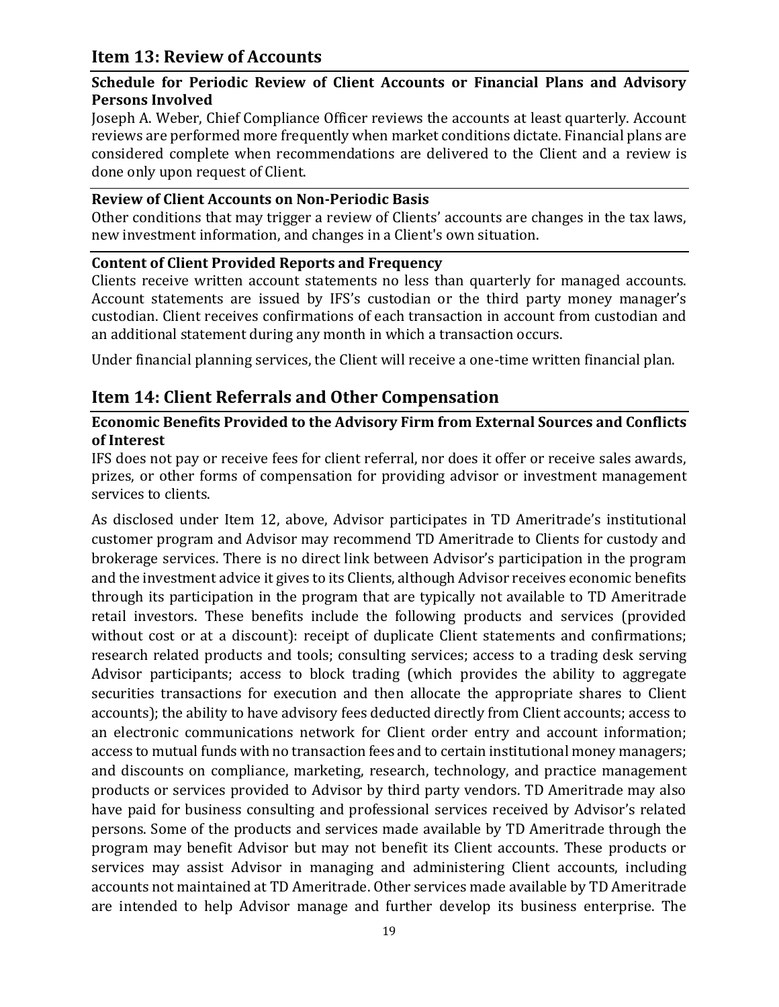## <span id="page-18-0"></span>**Item 13: Review of Accounts**

#### <span id="page-18-1"></span>**Schedule for Periodic Review of Client Accounts or Financial Plans and Advisory Persons Involved**

Joseph A. Weber, Chief Compliance Officer reviews the accounts at least quarterly. Account reviews are performed more frequently when market conditions dictate. Financial plans are considered complete when recommendations are delivered to the Client and a review is done only upon request of Client.

#### <span id="page-18-2"></span>**Review of Client Accounts on Non-Periodic Basis**

Other conditions that may trigger a review of Clients' accounts are changes in the tax laws, new investment information, and changes in a Client's own situation.

#### <span id="page-18-3"></span>**Content of Client Provided Reports and Frequency**

Clients receive written account statements no less than quarterly for managed accounts. Account statements are issued by IFS's custodian or the third party money manager's custodian. Client receives confirmations of each transaction in account from custodian and an additional statement during any month in which a transaction occurs.

<span id="page-18-4"></span>Under financial planning services, the Client will receive a one-time written financial plan.

## **Item 14: Client Referrals and Other Compensation**

#### <span id="page-18-5"></span>**Economic Benefits Provided to the Advisory Firm from External Sources and Conflicts of Interest**

IFS does not pay or receive fees for client referral, nor does it offer or receive sales awards, prizes, or other forms of compensation for providing advisor or investment management services to clients.

As disclosed under Item 12, above, Advisor participates in TD Ameritrade's institutional customer program and Advisor may recommend TD Ameritrade to Clients for custody and brokerage services. There is no direct link between Advisor's participation in the program and the investment advice it gives to its Clients, although Advisor receives economic benefits through its participation in the program that are typically not available to TD Ameritrade retail investors. These benefits include the following products and services (provided without cost or at a discount): receipt of duplicate Client statements and confirmations; research related products and tools; consulting services; access to a trading desk serving Advisor participants; access to block trading (which provides the ability to aggregate securities transactions for execution and then allocate the appropriate shares to Client accounts); the ability to have advisory fees deducted directly from Client accounts; access to an electronic communications network for Client order entry and account information; access to mutual funds with no transaction fees and to certain institutional money managers; and discounts on compliance, marketing, research, technology, and practice management products or services provided to Advisor by third party vendors. TD Ameritrade may also have paid for business consulting and professional services received by Advisor's related persons. Some of the products and services made available by TD Ameritrade through the program may benefit Advisor but may not benefit its Client accounts. These products or services may assist Advisor in managing and administering Client accounts, including accounts not maintained at TD Ameritrade. Other services made available by TD Ameritrade are intended to help Advisor manage and further develop its business enterprise. The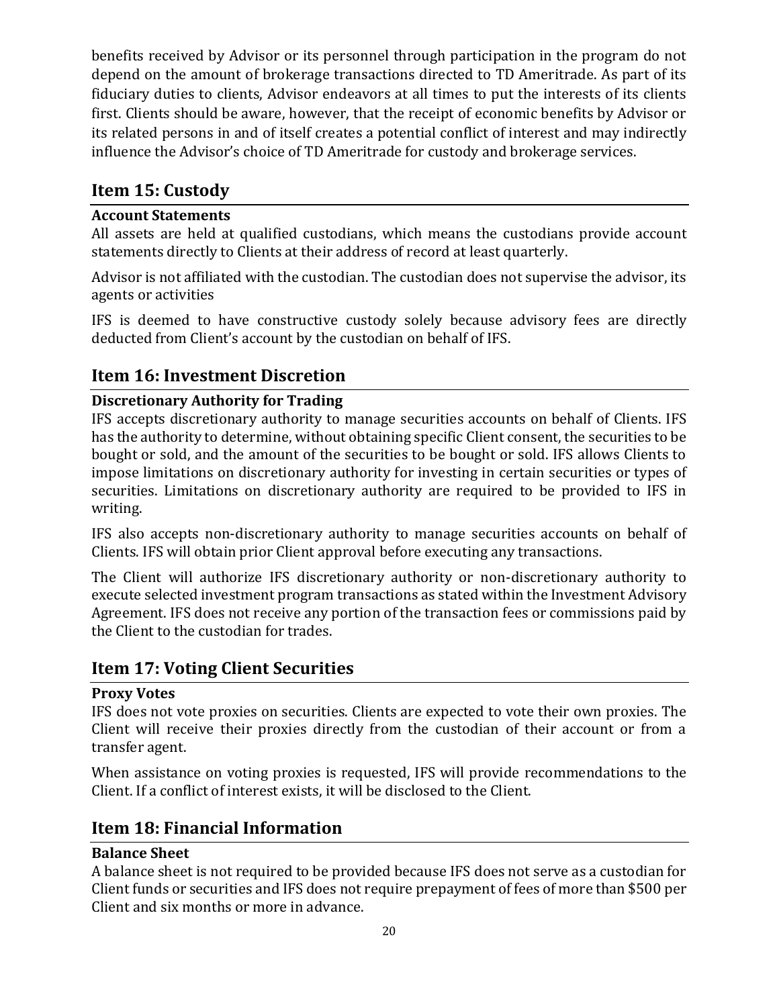benefits received by Advisor or its personnel through participation in the program do not depend on the amount of brokerage transactions directed to TD Ameritrade. As part of its fiduciary duties to clients, Advisor endeavors at all times to put the interests of its clients first. Clients should be aware, however, that the receipt of economic benefits by Advisor or its related persons in and of itself creates a potential conflict of interest and may indirectly influence the Advisor's choice of TD Ameritrade for custody and brokerage services.

## <span id="page-19-0"></span>**Item 15: Custody**

## <span id="page-19-1"></span>**Account Statements**

All assets are held at qualified custodians, which means the custodians provide account statements directly to Clients at their address of record at least quarterly.

Advisor is not affiliated with the custodian. The custodian does not supervise the advisor, its agents or activities

IFS is deemed to have constructive custody solely because advisory fees are directly deducted from Client's account by the custodian on behalf of IFS.

## <span id="page-19-2"></span>**Item 16: Investment Discretion**

## <span id="page-19-3"></span>**Discretionary Authority for Trading**

IFS accepts discretionary authority to manage securities accounts on behalf of Clients. IFS has the authority to determine, without obtaining specific Client consent, the securities to be bought or sold, and the amount of the securities to be bought or sold. IFS allows Clients to impose limitations on discretionary authority for investing in certain securities or types of securities. Limitations on discretionary authority are required to be provided to IFS in writing.

IFS also accepts non-discretionary authority to manage securities accounts on behalf of Clients. IFS will obtain prior Client approval before executing any transactions.

The Client will authorize IFS discretionary authority or non-discretionary authority to execute selected investment program transactions as stated within the Investment Advisory Agreement. IFS does not receive any portion of the transaction fees or commissions paid by the Client to the custodian for trades.

## <span id="page-19-4"></span>**Item 17: Voting Client Securities**

#### <span id="page-19-5"></span>**Proxy Votes**

IFS does not vote proxies on securities. Clients are expected to vote their own proxies. The Client will receive their proxies directly from the custodian of their account or from a transfer agent.

When assistance on voting proxies is requested, IFS will provide recommendations to the Client. If a conflict of interest exists, it will be disclosed to the Client.

## <span id="page-19-6"></span>**Item 18: Financial Information**

#### <span id="page-19-7"></span>**Balance Sheet**

A balance sheet is not required to be provided because IFS does not serve as a custodian for Client funds or securities and IFS does not require prepayment of fees of more than \$500 per Client and six months or more in advance.